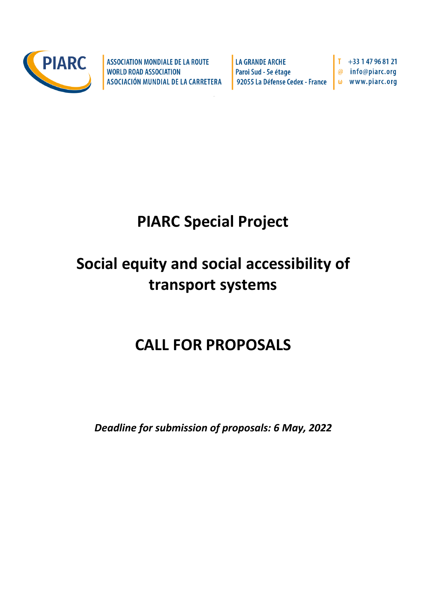

**ASSOCIATION MONDIALE DE LA ROUTE WORLD ROAD ASSOCIATION** ASOCIACIÓN MUNDIAL DE LA CARRETERA **LA GRANDE ARCHE** Paroi Sud - 5e étage 92055 La Défense Cedex - France

+33 1 47 96 81 21 info@piarc.org www.piarc.org  $\omega$ 

# **PIARC Special Project**

# **Social equity and social accessibility of transport systems**

# **CALL FOR PROPOSALS**

*Deadline for submission of proposals: 6 May, 2022*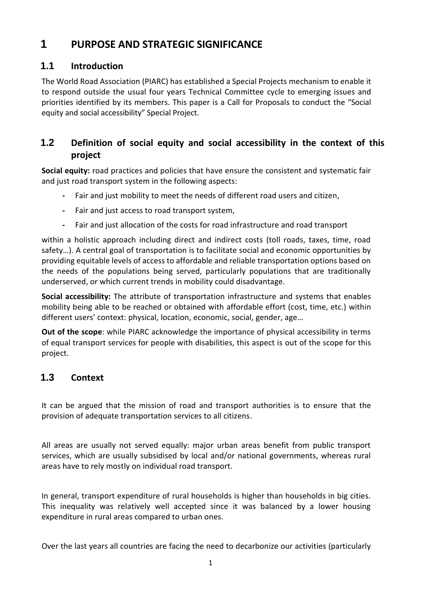# **1 PURPOSE AND STRATEGIC SIGNIFICANCE**

## **1.1 Introduction**

The World Road Association (PIARC) has established a Special Projects mechanism to enable it to respond outside the usual four years Technical Committee cycle to emerging issues and priorities identified by its members. This paper is a Call for Proposals to conduct the "Social equity and social accessibility" Special Project.

## **1.2 Definition of social equity and social accessibility in the context of this project**

**Social equity:** road practices and policies that have ensure the consistent and systematic fair and just road transport system in the following aspects:

- **-** Fair and just mobility to meet the needs of different road users and citizen,
- **-** Fair and just access to road transport system,
- **-** Fair and just allocation of the costs for road infrastructure and road transport

within a holistic approach including direct and indirect costs (toll roads, taxes, time, road safety…). A central goal of transportation is to facilitate social and economic opportunities by providing equitable levels of access to affordable and reliable transportation options based on the needs of the populations being served, particularly populations that are traditionally underserved, or which current trends in mobility could disadvantage.

**Social accessibility:** The attribute of transportation infrastructure and systems that enables mobility being able to be reached or obtained with affordable effort (cost, time, etc.) within different users' context: physical, location, economic, social, gender, age…

**Out of the scope**: while PIARC acknowledge the importance of physical accessibility in terms of equal transport services for people with disabilities, this aspect is out of the scope for this project.

# **1.3 Context**

It can be argued that the mission of road and transport authorities is to ensure that the provision of adequate transportation services to all citizens.

All areas are usually not served equally: major urban areas benefit from public transport services, which are usually subsidised by local and/or national governments, whereas rural areas have to rely mostly on individual road transport.

In general, transport expenditure of rural households is higher than households in big cities. This inequality was relatively well accepted since it was balanced by a lower housing expenditure in rural areas compared to urban ones.

Over the last years all countries are facing the need to decarbonize our activities (particularly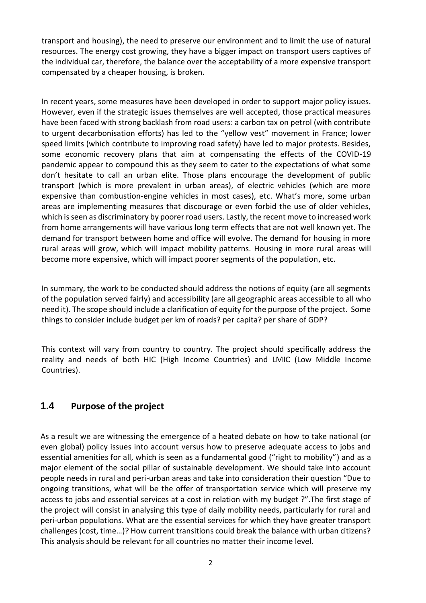transport and housing), the need to preserve our environment and to limit the use of natural resources. The energy cost growing, they have a bigger impact on transport users captives of the individual car, therefore, the balance over the acceptability of a more expensive transport compensated by a cheaper housing, is broken.

In recent years, some measures have been developed in order to support major policy issues. However, even if the strategic issues themselves are well accepted, those practical measures have been faced with strong backlash from road users: a carbon tax on petrol (with contribute to urgent decarbonisation efforts) has led to the "yellow vest" movement in France; lower speed limits (which contribute to improving road safety) have led to major protests. Besides, some economic recovery plans that aim at compensating the effects of the COVID-19 pandemic appear to compound this as they seem to cater to the expectations of what some don't hesitate to call an urban elite. Those plans encourage the development of public transport (which is more prevalent in urban areas), of electric vehicles (which are more expensive than combustion-engine vehicles in most cases), etc. What's more, some urban areas are implementing measures that discourage or even forbid the use of older vehicles, which is seen as discriminatory by poorer road users. Lastly, the recent move to increased work from home arrangements will have various long term effects that are not well known yet. The demand for transport between home and office will evolve. The demand for housing in more rural areas will grow, which will impact mobility patterns. Housing in more rural areas will become more expensive, which will impact poorer segments of the population, etc.

In summary, the work to be conducted should address the notions of equity (are all segments of the population served fairly) and accessibility (are all geographic areas accessible to all who need it). The scope should include a clarification of equity for the purpose of the project. Some things to consider include budget per km of roads? per capita? per share of GDP?

This context will vary from country to country. The project should specifically address the reality and needs of both HIC (High Income Countries) and LMIC (Low Middle Income Countries).

#### **1.4 Purpose of the project**

As a result we are witnessing the emergence of a heated debate on how to take national (or even global) policy issues into account versus how to preserve adequate access to jobs and essential amenities for all, which is seen as a fundamental good ("right to mobility") and as a major element of the social pillar of sustainable development. We should take into account people needs in rural and peri-urban areas and take into consideration their question "Due to ongoing transitions, what will be the offer of transportation service which will preserve my access to jobs and essential services at a cost in relation with my budget ?".The first stage of the project will consist in analysing this type of daily mobility needs, particularly for rural and peri-urban populations. What are the essential services for which they have greater transport challenges (cost, time…)? How current transitions could break the balance with urban citizens? This analysis should be relevant for all countries no matter their income level.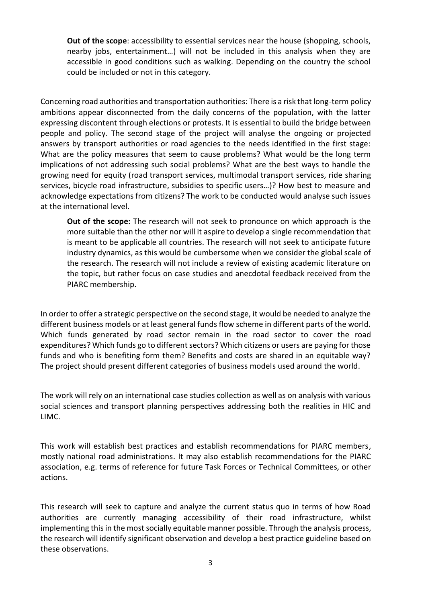**Out of the scope**: accessibility to essential services near the house (shopping, schools, nearby jobs, entertainment…) will not be included in this analysis when they are accessible in good conditions such as walking. Depending on the country the school could be included or not in this category.

Concerning road authorities and transportation authorities: There is a risk that long-term policy ambitions appear disconnected from the daily concerns of the population, with the latter expressing discontent through elections or protests. It is essential to build the bridge between people and policy. The second stage of the project will analyse the ongoing or projected answers by transport authorities or road agencies to the needs identified in the first stage: What are the policy measures that seem to cause problems? What would be the long term implications of not addressing such social problems? What are the best ways to handle the growing need for equity (road transport services, multimodal transport services, ride sharing services, bicycle road infrastructure, subsidies to specific users…)? How best to measure and acknowledge expectations from citizens? The work to be conducted would analyse such issues at the international level.

**Out of the scope:** The research will not seek to pronounce on which approach is the more suitable than the other nor will it aspire to develop a single recommendation that is meant to be applicable all countries. The research will not seek to anticipate future industry dynamics, as this would be cumbersome when we consider the global scale of the research. The research will not include a review of existing academic literature on the topic, but rather focus on case studies and anecdotal feedback received from the PIARC membership.

In order to offer a strategic perspective on the second stage, it would be needed to analyze the different business models or at least general funds flow scheme in different parts of the world. Which funds generated by road sector remain in the road sector to cover the road expenditures? Which funds go to different sectors? Which citizens or users are paying for those funds and who is benefiting form them? Benefits and costs are shared in an equitable way? The project should present different categories of business models used around the world.

The work will rely on an international case studies collection as well as on analysis with various social sciences and transport planning perspectives addressing both the realities in HIC and LIMC.

This work will establish best practices and establish recommendations for PIARC members, mostly national road administrations. It may also establish recommendations for the PIARC association, e.g. terms of reference for future Task Forces or Technical Committees, or other actions.

This research will seek to capture and analyze the current status quo in terms of how Road authorities are currently managing accessibility of their road infrastructure, whilst implementing this in the most socially equitable manner possible. Through the analysis process, the research will identify significant observation and develop a best practice guideline based on these observations.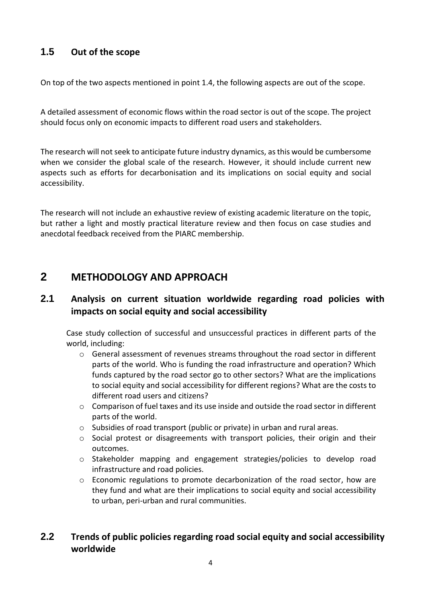## **1.5 Out of the scope**

On top of the two aspects mentioned in point 1.4, the following aspects are out of the scope.

A detailed assessment of economic flows within the road sector is out of the scope. The project should focus only on economic impacts to different road users and stakeholders.

The research will not seek to anticipate future industry dynamics, as this would be cumbersome when we consider the global scale of the research. However, it should include current new aspects such as efforts for decarbonisation and its implications on social equity and social accessibility.

The research will not include an exhaustive review of existing academic literature on the topic, but rather a light and mostly practical literature review and then focus on case studies and anecdotal feedback received from the PIARC membership.

# **2 METHODOLOGY AND APPROACH**

#### **2.1 Analysis on current situation worldwide regarding road policies with impacts on social equity and social accessibility**

Case study collection of successful and unsuccessful practices in different parts of the world, including:

- o General assessment of revenues streams throughout the road sector in different parts of the world. Who is funding the road infrastructure and operation? Which funds captured by the road sector go to other sectors? What are the implications to social equity and social accessibility for different regions? What are the costs to different road users and citizens?
- $\circ$  Comparison of fuel taxes and its use inside and outside the road sector in different parts of the world.
- o Subsidies of road transport (public or private) in urban and rural areas.
- $\circ$  Social protest or disagreements with transport policies, their origin and their outcomes.
- o Stakeholder mapping and engagement strategies/policies to develop road infrastructure and road policies.
- o Economic regulations to promote decarbonization of the road sector, how are they fund and what are their implications to social equity and social accessibility to urban, peri-urban and rural communities.

## **2.2 Trends of public policies regarding road social equity and social accessibility worldwide**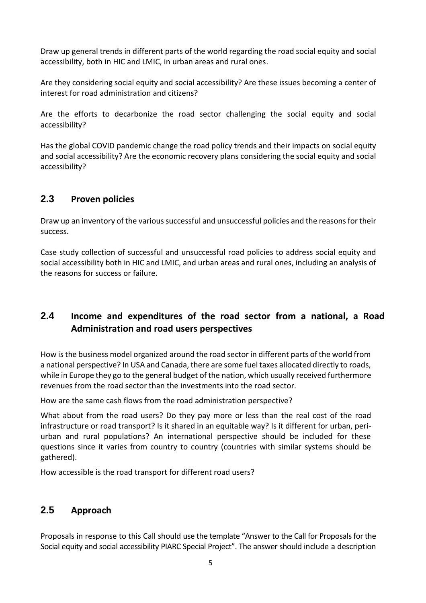Draw up general trends in different parts of the world regarding the road social equity and social accessibility, both in HIC and LMIC, in urban areas and rural ones.

Are they considering social equity and social accessibility? Are these issues becoming a center of interest for road administration and citizens?

Are the efforts to decarbonize the road sector challenging the social equity and social accessibility?

Has the global COVID pandemic change the road policy trends and their impacts on social equity and social accessibility? Are the economic recovery plans considering the social equity and social accessibility?

### **2.3 Proven policies**

Draw up an inventory of the various successful and unsuccessful policies and the reasons for their success.

Case study collection of successful and unsuccessful road policies to address social equity and social accessibility both in HIC and LMIC, and urban areas and rural ones, including an analysis of the reasons for success or failure.

## **2.4 Income and expenditures of the road sector from a national, a Road Administration and road users perspectives**

How is the business model organized around the road sector in different parts of the world from a national perspective? In USA and Canada, there are some fuel taxes allocated directly to roads, while in Europe they go to the general budget of the nation, which usually received furthermore revenues from the road sector than the investments into the road sector.

How are the same cash flows from the road administration perspective?

What about from the road users? Do they pay more or less than the real cost of the road infrastructure or road transport? Is it shared in an equitable way? Is it different for urban, periurban and rural populations? An international perspective should be included for these questions since it varies from country to country (countries with similar systems should be gathered).

How accessible is the road transport for different road users?

#### **2.5 Approach**

Proposals in response to this Call should use the template "Answer to the Call for Proposals for the Social equity and social accessibility PIARC Special Project". The answer should include a description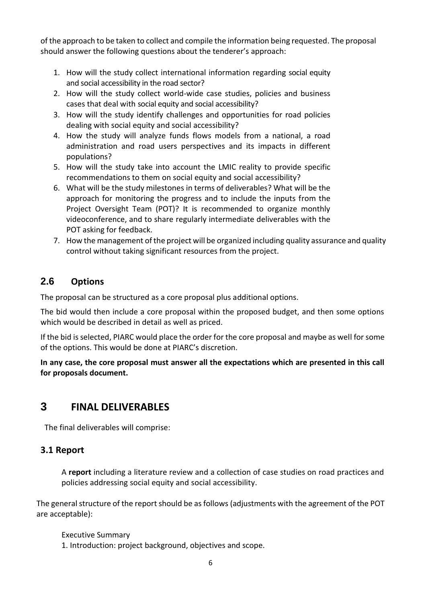of the approach to be taken to collect and compile the information being requested. The proposal should answer the following questions about the tenderer's approach:

- 1. How will the study collect international information regarding social equity and social accessibility in the road sector?
- 2. How will the study collect world-wide case studies, policies and business cases that deal with social equity and social accessibility?
- 3. How will the study identify challenges and opportunities for road policies dealing with social equity and social accessibility?
- 4. How the study will analyze funds flows models from a national, a road administration and road users perspectives and its impacts in different populations?
- 5. How will the study take into account the LMIC reality to provide specific recommendations to them on social equity and social accessibility?
- 6. What will be the study milestones in terms of deliverables? What will be the approach for monitoring the progress and to include the inputs from the Project Oversight Team (POT)? It is recommended to organize monthly videoconference, and to share regularly intermediate deliverables with the POT asking for feedback.
- 7. How the management of the project will be organized including quality assurance and quality control without taking significant resources from the project.

## **2.6 Options**

The proposal can be structured as a core proposal plus additional options.

The bid would then include a core proposal within the proposed budget, and then some options which would be described in detail as well as priced.

If the bid is selected, PIARC would place the order for the core proposal and maybe as well for some of the options. This would be done at PIARC's discretion.

**In any case, the core proposal must answer all the expectations which are presented in this call for proposals document.**

# **3 FINAL DELIVERABLES**

The final deliverables will comprise:

#### **3.1 Report**

A **report** including a literature review and a collection of case studies on road practices and policies addressing social equity and social accessibility.

The general structure of the report should be as follows (adjustments with the agreement of the POT are acceptable):

Executive Summary

1. Introduction: project background, objectives and scope.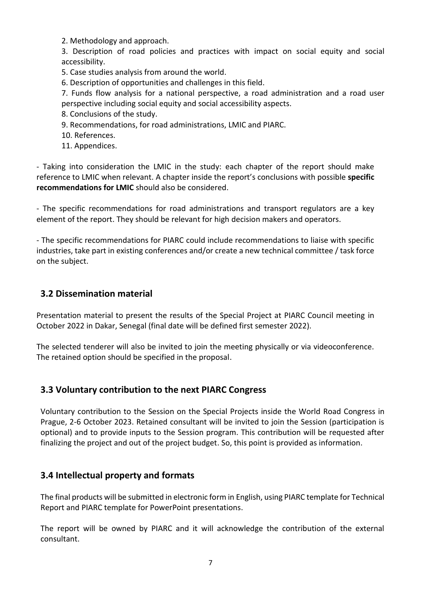2. Methodology and approach.

3. Description of road policies and practices with impact on social equity and social accessibility.

5. Case studies analysis from around the world.

6. Description of opportunities and challenges in this field.

7. Funds flow analysis for a national perspective, a road administration and a road user perspective including social equity and social accessibility aspects.

- 8. Conclusions of the study.
- 9. Recommendations, for road administrations, LMIC and PIARC.
- 10. References.
- 11. Appendices.

- Taking into consideration the LMIC in the study: each chapter of the report should make reference to LMIC when relevant. A chapter inside the report's conclusions with possible **specific recommendations for LMIC** should also be considered.

- The specific recommendations for road administrations and transport regulators are a key element of the report. They should be relevant for high decision makers and operators.

- The specific recommendations for PIARC could include recommendations to liaise with specific industries, take part in existing conferences and/or create a new technical committee / task force on the subject.

#### **3.2 Dissemination material**

Presentation material to present the results of the Special Project at PIARC Council meeting in October 2022 in Dakar, Senegal (final date will be defined first semester 2022).

The selected tenderer will also be invited to join the meeting physically or via videoconference. The retained option should be specified in the proposal.

#### **3.3 Voluntary contribution to the next PIARC Congress**

Voluntary contribution to the Session on the Special Projects inside the World Road Congress in Prague, 2-6 October 2023. Retained consultant will be invited to join the Session (participation is optional) and to provide inputs to the Session program. This contribution will be requested after finalizing the project and out of the project budget. So, this point is provided as information.

#### **3.4 Intellectual property and formats**

The final products will be submitted in electronic form in English, using PIARC template for Technical Report and PIARC template for PowerPoint presentations.

The report will be owned by PIARC and it will acknowledge the contribution of the external consultant.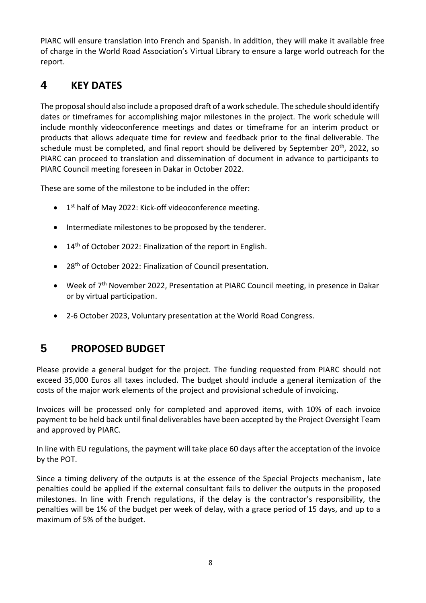PIARC will ensure translation into French and Spanish. In addition, they will make it available free of charge in the World Road Association's Virtual Library to ensure a large world outreach for the report.

# **4 KEY DATES**

The proposal should also include a proposed draft of a work schedule. The schedule should identify dates or timeframes for accomplishing major milestones in the project. The work schedule will include monthly videoconference meetings and dates or timeframe for an interim product or products that allows adequate time for review and feedback prior to the final deliverable. The schedule must be completed, and final report should be delivered by September 20<sup>th</sup>, 2022, so PIARC can proceed to translation and dissemination of document in advance to participants to PIARC Council meeting foreseen in Dakar in October 2022.

These are some of the milestone to be included in the offer:

- 1<sup>st</sup> half of May 2022: Kick-off videoconference meeting.
- Intermediate milestones to be proposed by the tenderer.
- 14<sup>th</sup> of October 2022: Finalization of the report in English.
- 28<sup>th</sup> of October 2022: Finalization of Council presentation.
- Week of 7<sup>th</sup> November 2022, Presentation at PIARC Council meeting, in presence in Dakar or by virtual participation.
- 2-6 October 2023, Voluntary presentation at the World Road Congress.

# **5 PROPOSED BUDGET**

Please provide a general budget for the project. The funding requested from PIARC should not exceed 35,000 Euros all taxes included. The budget should include a general itemization of the costs of the major work elements of the project and provisional schedule of invoicing.

Invoices will be processed only for completed and approved items, with 10% of each invoice payment to be held back until final deliverables have been accepted by the Project Oversight Team and approved by PIARC.

In line with EU regulations, the payment will take place 60 days after the acceptation of the invoice by the POT.

Since a timing delivery of the outputs is at the essence of the Special Projects mechanism, late penalties could be applied if the external consultant fails to deliver the outputs in the proposed milestones. In line with French regulations, if the delay is the contractor's responsibility, the penalties will be 1% of the budget per week of delay, with a grace period of 15 days, and up to a maximum of 5% of the budget.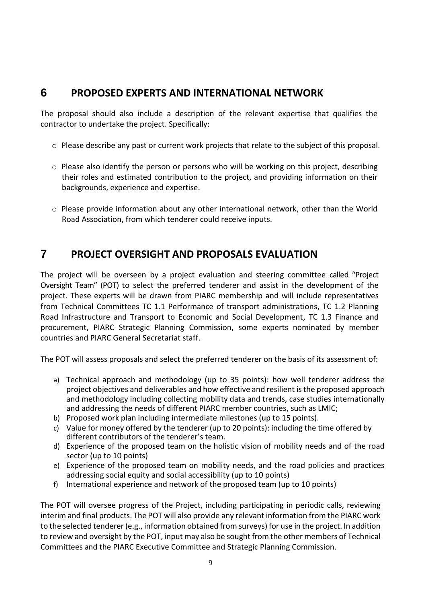## **6 PROPOSED EXPERTS AND INTERNATIONAL NETWORK**

The proposal should also include a description of the relevant expertise that qualifies the contractor to undertake the project. Specifically:

- $\circ$  Please describe any past or current work projects that relate to the subject of this proposal.
- $\circ$  Please also identify the person or persons who will be working on this project, describing their roles and estimated contribution to the project, and providing information on their backgrounds, experience and expertise.
- $\circ$  Please provide information about any other international network, other than the World Road Association, from which tenderer could receive inputs.

# **7 PROJECT OVERSIGHT AND PROPOSALS EVALUATION**

The project will be overseen by a project evaluation and steering committee called "Project Oversight Team" (POT) to select the preferred tenderer and assist in the development of the project. These experts will be drawn from PIARC membership and will include representatives from Technical Committees TC 1.1 Performance of transport administrations, TC 1.2 Planning Road Infrastructure and Transport to Economic and Social Development, TC 1.3 Finance and procurement, PIARC Strategic Planning Commission, some experts nominated by member countries and PIARC General Secretariat staff.

The POT will assess proposals and select the preferred tenderer on the basis of its assessment of:

- a) Technical approach and methodology (up to 35 points): how well tenderer address the project objectives and deliverables and how effective and resilient is the proposed approach and methodology including collecting mobility data and trends, case studies internationally and addressing the needs of different PIARC member countries, such as LMIC;
- b) Proposed work plan including intermediate milestones (up to 15 points).
- c) Value for money offered by the tenderer (up to 20 points): including the time offered by different contributors of the tenderer's team.
- d) Experience of the proposed team on the holistic vision of mobility needs and of the road sector (up to 10 points)
- e) Experience of the proposed team on mobility needs, and the road policies and practices addressing social equity and social accessibility (up to 10 points)
- f) International experience and network of the proposed team (up to 10 points)

The POT will oversee progress of the Project, including participating in periodic calls, reviewing interim and final products. The POT will also provide any relevant information from the PIARC work to the selected tenderer(e.g., information obtained from surveys) for use in the project. In addition to review and oversight by the POT, input may also be sought from the other members of Technical Committees and the PIARC Executive Committee and Strategic Planning Commission.